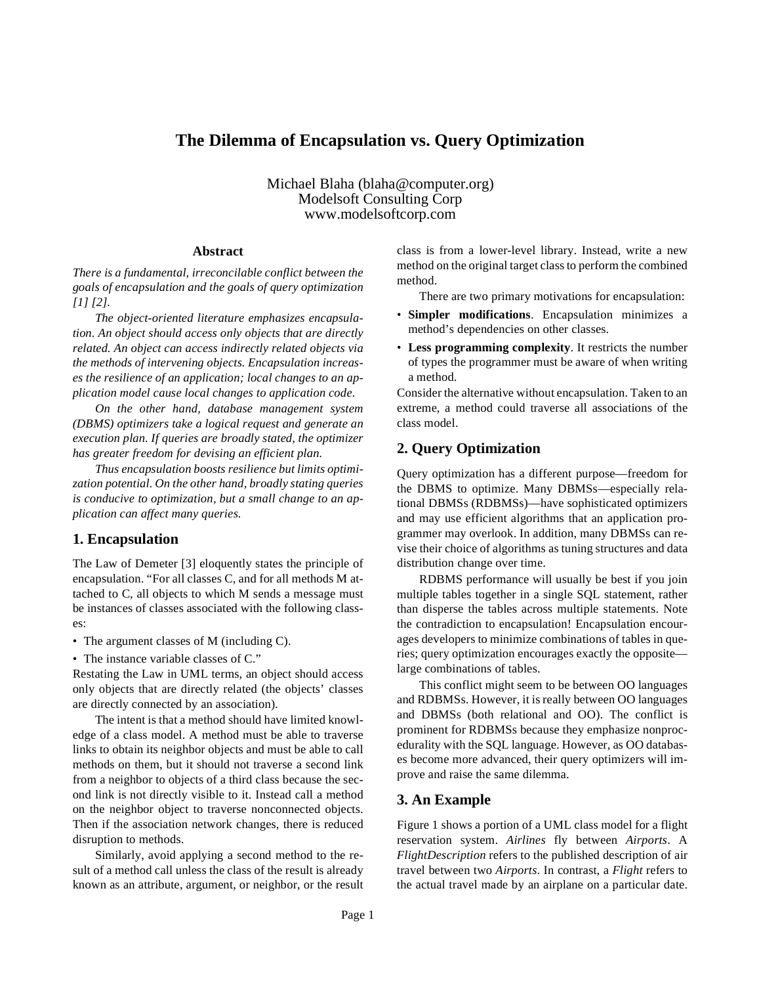# **The Dilemma of Encapsulation vs. Query Optimization**

Michael Blaha (blaha@computer.org) Modelsoft Consulting Corp www.modelsoftcorp.com

#### **Abstract**

*There is a fundamental, irreconcilable conflict between the goals of encapsulation and the goals of query optimization [1] [2].*

*The object-oriented literature emphasizes encapsulation. An object should access only objects that are directly related. An object can access indirectly related objects via the methods of intervening objects. Encapsulation increases the resilience of an application; local changes to an application model cause local changes to application code.*

*On the other hand, database management system (DBMS) optimizers take a logical request and generate an execution plan. If queries are broadly stated, the optimizer has greater freedom for devising an efficient plan.*

*Thus encapsulation boosts resilience but limits optimization potential. On the other hand, broadly stating queries is conducive to optimization, but a small change to an application can affect many queries.*

#### **1. Encapsulation**

The Law of Demeter [3] eloquently states the principle of encapsulation. "For all classes C, and for all methods M attached to C, all objects to which M sends a message must be instances of classes associated with the following classes:

• The argument classes of M (including C).

• The instance variable classes of C."

Restating the Law in UML terms, an object should access only objects that are directly related (the objects' classes are directly connected by an association).

The intent is that a method should have limited knowledge of a class model. A method must be able to traverse links to obtain its neighbor objects and must be able to call methods on them, but it should not traverse a second link from a neighbor to objects of a third class because the second link is not directly visible to it. Instead call a method on the neighbor object to traverse nonconnected objects. Then if the association network changes, there is reduced disruption to methods.

Similarly, avoid applying a second method to the result of a method call unless the class of the result is already known as an attribute, argument, or neighbor, or the result class is from a lower-level library. Instead, write a new method on the original target class to perform the combined method.

There are two primary motivations for encapsulation:

- **Simpler modifications**. Encapsulation minimizes a method's dependencies on other classes.
- **Less programming complexity**. It restricts the number of types the programmer must be aware of when writing a method.

Consider the alternative without encapsulation. Taken to an extreme, a method could traverse all associations of the class model.

### **2. Query Optimization**

Query optimization has a different purpose—freedom for the DBMS to optimize. Many DBMSs—especially relational DBMSs (RDBMSs)—have sophisticated optimizers and may use efficient algorithms that an application programmer may overlook. In addition, many DBMSs can revise their choice of algorithms as tuning structures and data distribution change over time.

RDBMS performance will usually be best if you join multiple tables together in a single SQL statement, rather than disperse the tables across multiple statements. Note the contradiction to encapsulation! Encapsulation encourages developers to minimize combinations of tables in queries; query optimization encourages exactly the opposite large combinations of tables.

This conflict might seem to be between OO languages and RDBMSs. However, it is really between OO languages and DBMSs (both relational and OO). The conflict is prominent for RDBMSs because they emphasize nonprocedurality with the SQL language. However, as OO databases become more advanced, their query optimizers will improve and raise the same dilemma.

#### **3. An Example**

Figure 1 shows a portion of a UML class model for a flight reservation system. *Airlines* fly between *Airports*. A *FlightDescription* refers to the published description of air travel between two *Airports*. In contrast, a *Flight* refers to the actual travel made by an airplane on a particular date.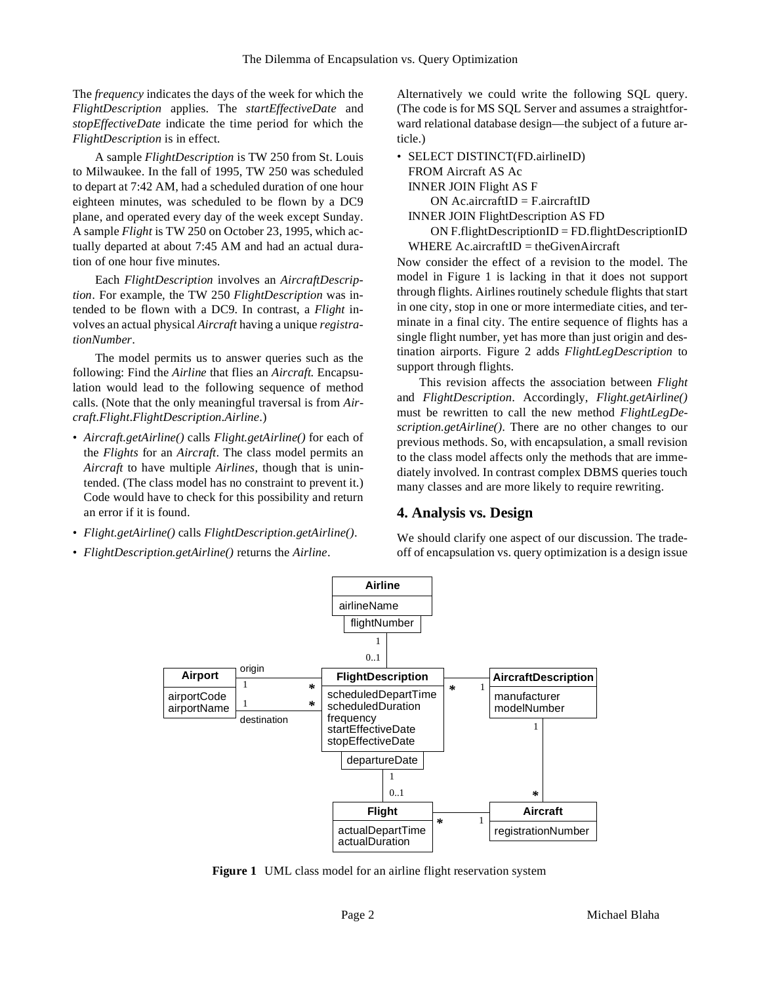The *frequency* indicates the days of the week for which the *FlightDescription* applies. The *startEffectiveDate* and *stopEffectiveDate* indicate the time period for which the *FlightDescription* is in effect.

A sample *FlightDescription* is TW 250 from St. Louis to Milwaukee. In the fall of 1995, TW 250 was scheduled to depart at 7:42 AM, had a scheduled duration of one hour eighteen minutes, was scheduled to be flown by a DC9 plane, and operated every day of the week except Sunday. A sample *Flight* is TW 250 on October 23, 1995, which actually departed at about 7:45 AM and had an actual duration of one hour five minutes.

Each *FlightDescription* involves an *AircraftDescription*. For example, the TW 250 *FlightDescription* was intended to be flown with a DC9. In contrast, a *Flight* involves an actual physical *Aircraft* having a unique *registrationNumber*.

The model permits us to answer queries such as the following: Find the *Airline* that flies an *Aircraft*. Encapsulation would lead to the following sequence of method calls. (Note that the only meaningful traversal is from *Aircraft*.*Flight*.*FlightDescription*.*Airline*.)

- *Aircraft.getAirline()* calls *Flight.getAirline()* for each of the *Flights* for an *Aircraft*. The class model permits an *Aircraft* to have multiple *Airlines*, though that is unintended. (The class model has no constraint to prevent it.) Code would have to check for this possibility and return an error if it is found.
- *Flight.getAirline()* calls *FlightDescription.getAirline()*.
- *FlightDescription.getAirline()* returns the *Airline*.

Alternatively we could write the following SQL query. (The code is for MS SQL Server and assumes a straightforward relational database design—the subject of a future article.)

• SELECT DISTINCT(FD.airlineID) FROM Aircraft AS Ac INNER JOIN Flight AS F  $ON$  Ac.aircraftID = F.aircraftID INNER JOIN FlightDescription AS FD

 $ON$  F.flightDescriptionID = FD.flightDescriptionID WHERE  $Ac.aircraftID = theGiven Aircraft$ 

Now consider the effect of a revision to the model. The model in Figure 1 is lacking in that it does not support through flights. Airlines routinely schedule flights that start in one city, stop in one or more intermediate cities, and terminate in a final city. The entire sequence of flights has a single flight number, yet has more than just origin and destination airports. Figure 2 adds *FlightLegDescription* to support through flights.

This revision affects the association between *Flight* and *FlightDescription*. Accordingly, *Flight.getAirline()* must be rewritten to call the new method *FlightLegDescription.getAirline()*. There are no other changes to our previous methods. So, with encapsulation, a small revision to the class model affects only the methods that are immediately involved. In contrast complex DBMS queries touch many classes and are more likely to require rewriting.

#### **4. Analysis vs. Design**

We should clarify one aspect of our discussion. The tradeoff of encapsulation vs. query optimization is a design issue



**Figure 1** UML class model for an airline flight reservation system